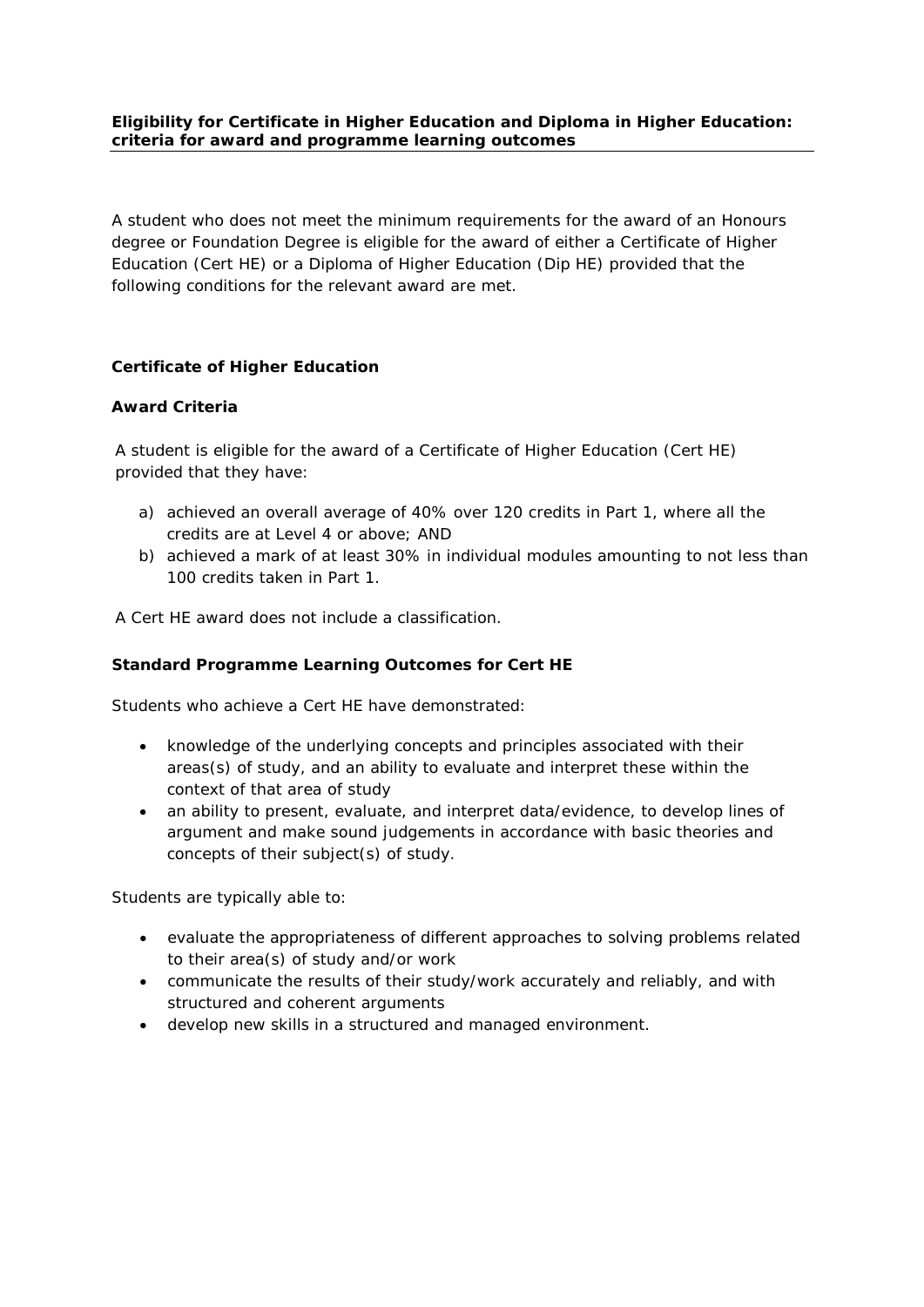## **Eligibility for Certificate in Higher Education and Diploma in Higher Education: criteria for award and programme learning outcomes**

A student who does not meet the minimum requirements for the award of an Honours degree or Foundation Degree is eligible for the award of either a Certificate of Higher Education (Cert HE) or a Diploma of Higher Education (Dip HE) provided that the following conditions for the relevant award are met.

## **Certificate of Higher Education**

#### *Award Criteria*

A student is eligible for the award of a Certificate of Higher Education (Cert HE) provided that they have:

- a) achieved an overall average of 40% over 120 credits in Part 1, where all the credits are at Level 4 or above; AND
- b) achieved a mark of at least 30% in individual modules amounting to not less than 100 credits taken in Part 1.

A Cert HE award does not include a classification.

#### *Standard Programme Learning Outcomes for Cert HE*

Students who achieve a Cert HE have demonstrated:

- knowledge of the underlying concepts and principles associated with their areas(s) of study, and an ability to evaluate and interpret these within the context of that area of study
- an ability to present, evaluate, and interpret data/evidence, to develop lines of argument and make sound judgements in accordance with basic theories and concepts of their subject(s) of study.

Students are typically able to:

- evaluate the appropriateness of different approaches to solving problems related to their area(s) of study and/or work
- communicate the results of their study/work accurately and reliably, and with structured and coherent arguments
- develop new skills in a structured and managed environment.